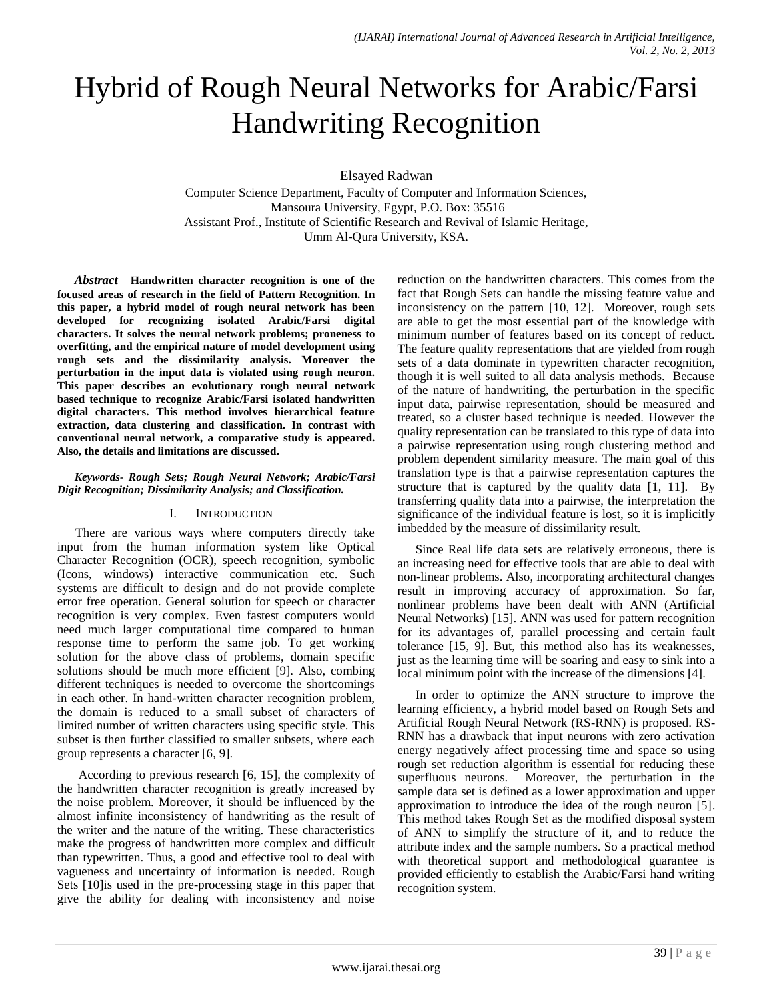# Hybrid of Rough Neural Networks for Arabic/Farsi Handwriting Recognition

Elsayed Radwan

Computer Science Department, Faculty of Computer and Information Sciences, Mansoura University, Egypt, P.O. Box: 35516 Assistant Prof., Institute of Scientific Research and Revival of Islamic Heritage, Umm Al-Qura University, KSA.

*Abstract*—**Handwritten character recognition is one of the focused areas of research in the field of Pattern Recognition. In this paper, a hybrid model of rough neural network has been developed for recognizing isolated Arabic/Farsi digital characters. It solves the neural network problems; proneness to overfitting, and the empirical nature of model development using rough sets and the dissimilarity analysis. Moreover the perturbation in the input data is violated using rough neuron. This paper describes an evolutionary rough neural network based technique to recognize Arabic/Farsi isolated handwritten digital characters. This method involves hierarchical feature extraction, data clustering and classification. In contrast with conventional neural network, a comparative study is appeared. Also, the details and limitations are discussed.**

## *Keywords- Rough Sets; Rough Neural Network; Arabic/Farsi Digit Recognition; Dissimilarity Analysis; and Classification.*

# I. INTRODUCTION

There are various ways where computers directly take input from the human information system like Optical Character Recognition (OCR), speech recognition, symbolic (Icons, windows) interactive communication etc. Such systems are difficult to design and do not provide complete error free operation. General solution for speech or character recognition is very complex. Even fastest computers would need much larger computational time compared to human response time to perform the same job. To get working solution for the above class of problems, domain specific solutions should be much more efficient [9]. Also, combing different techniques is needed to overcome the shortcomings in each other. In hand-written character recognition problem, the domain is reduced to a small subset of characters of limited number of written characters using specific style. This subset is then further classified to smaller subsets, where each group represents a character [6, 9].

According to previous research [6, 15], the complexity of the handwritten character recognition is greatly increased by the noise problem. Moreover, it should be influenced by the almost infinite inconsistency of handwriting as the result of the writer and the nature of the writing. These characteristics make the progress of handwritten more complex and difficult than typewritten. Thus, a good and effective tool to deal with vagueness and uncertainty of information is needed. Rough Sets [10]is used in the pre-processing stage in this paper that give the ability for dealing with inconsistency and noise

reduction on the handwritten characters. This comes from the fact that Rough Sets can handle the missing feature value and inconsistency on the pattern [10, 12]. Moreover, rough sets are able to get the most essential part of the knowledge with minimum number of features based on its concept of reduct. The feature quality representations that are yielded from rough sets of a data dominate in typewritten character recognition, though it is well suited to all data analysis methods. Because of the nature of handwriting, the perturbation in the specific input data, pairwise representation, should be measured and treated, so a cluster based technique is needed. However the quality representation can be translated to this type of data into a pairwise representation using rough clustering method and problem dependent similarity measure. The main goal of this translation type is that a pairwise representation captures the structure that is captured by the quality data [1, 11]. By transferring quality data into a pairwise, the interpretation the significance of the individual feature is lost, so it is implicitly imbedded by the measure of dissimilarity result.

Since Real life data sets are relatively erroneous, there is an increasing need for effective tools that are able to deal with non-linear problems. Also, incorporating architectural changes result in improving accuracy of approximation. So far, nonlinear problems have been dealt with ANN (Artificial Neural Networks) [15]. ANN was used for pattern recognition for its advantages of, parallel processing and certain fault tolerance [15, 9]. But, this method also has its weaknesses, just as the learning time will be soaring and easy to sink into a local minimum point with the increase of the dimensions [4].

In order to optimize the ANN structure to improve the learning efficiency, a hybrid model based on Rough Sets and Artificial Rough Neural Network (RS-RNN) is proposed. RS-RNN has a drawback that input neurons with zero activation energy negatively affect processing time and space so using rough set reduction algorithm is essential for reducing these superfluous neurons. Moreover, the perturbation in the sample data set is defined as a lower approximation and upper approximation to introduce the idea of the rough neuron [5]. This method takes Rough Set as the modified disposal system of ANN to simplify the structure of it, and to reduce the attribute index and the sample numbers. So a practical method with theoretical support and methodological guarantee is provided efficiently to establish the Arabic/Farsi hand writing recognition system.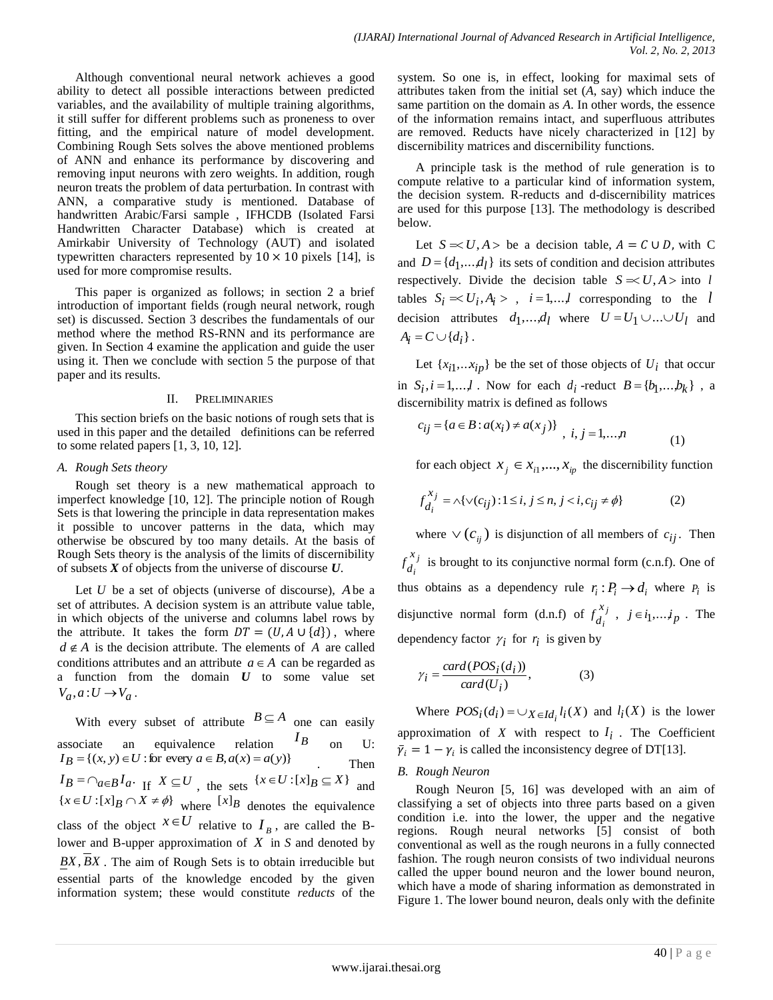Although conventional neural network achieves a good ability to detect all possible interactions between predicted variables, and the availability of multiple training algorithms, it still suffer for different problems such as proneness to over fitting, and the empirical nature of model development. Combining Rough Sets solves the above mentioned problems of ANN and enhance its performance by discovering and removing input neurons with zero weights. In addition, rough neuron treats the problem of data perturbation. In contrast with ANN, a comparative study is mentioned. Database of handwritten Arabic/Farsi sample , IFHCDB (Isolated Farsi Handwritten Character Database) which is created at Amirkabir University of Technology (AUT) and isolated typewritten characters represented by  $10 \times 10$  pixels [14], is used for more compromise results.

This paper is organized as follows; in section 2 a brief introduction of important fields (rough neural network, rough set) is discussed. Section 3 describes the fundamentals of our method where the method RS-RNN and its performance are given. In Section 4 examine the application and guide the user using it. Then we conclude with section 5 the purpose of that paper and its results.

## II. PRELIMINARIES

This section briefs on the basic notions of rough sets that is used in this paper and the detailed definitions can be referred to some related papers [1, 3, 10, 12].

## *A. Rough Sets theory*

Rough set theory is a new mathematical approach to imperfect knowledge [10, 12]. The principle notion of Rough Sets is that lowering the principle in data representation makes it possible to uncover patterns in the data, which may otherwise be obscured by too many details. At the basis of Rough Sets theory is the analysis of the limits of discernibility of subsets *X* of objects from the universe of discourse *U*.

Let  $U$  be a set of objects (universe of discourse),  $A$  be a set of attributes. A decision system is an attribute value table, in which objects of the universe and columns label rows by the attribute. It takes the form  $DT = (U, A \cup \{d\})$ , where  $d \notin A$  is the decision attribute. The elements of A are called conditions attributes and an attribute  $a \in A$  can be regarded as a function from the domain *U* to some value set  $V_a$ ,  $a: U \rightarrow V_a$ .

With every subset of attribute  $B \subseteq A$  one can easily associate an equivalence relation *IB* on U:  $I_B = \{(x, y) \in U : \text{for every } a \in B, a(x) = a(y)\}$ . Then  $I_B = \bigcap_{a \in B} I_a$ . If  $X \subseteq U$ , the sets  $\{x \in U : [x]_B \subseteq X\}$  and  ${x \in U : [x]_B \cap X \neq \emptyset}$  where  $[x]_B$  denotes the equivalence class of the object  $X \in U$  relative to  $I_B$ , are called the Blower and B-upper approximation of *X* in *S* and denoted by *BX*, *BX* . The aim of Rough Sets is to obtain irreducible but essential parts of the knowledge encoded by the given information system; these would constitute *reducts* of the

system. So one is, in effect, looking for maximal sets of attributes taken from the initial set (*A*, say) which induce the same partition on the domain as *A*. In other words, the essence of the information remains intact, and superfluous attributes are removed. Reducts have nicely characterized in [12] by discernibility matrices and discernibility functions.

A principle task is the method of rule generation is to compute relative to a particular kind of information system, the decision system. R-reducts and d-discernibility matrices are used for this purpose [13]. The methodology is described below.

Let  $S = U, A >$  be a decision table,  $A = C \cup D$ , with C and  $D = \{d_1, \ldots, d_l\}$  its sets of condition and decision attributes respectively. Divide the decision table  $S \le U, A > \text{into } l$ tables  $S_i \approx U_i, A_i >$ ,  $i = 1,...,l$  corresponding to the *l* decision attributes  $d_1$ ,...,  $d_l$  where  $U = U_1 \cup ... \cup U_l$  and  $A_i = C \cup \{d_i\}.$ 

Let  $\{x_{i1}, \ldots x_{ip}\}$  be the set of those objects of  $U_i$  that occur in  $S_i$ ,  $i = 1,...,l$ . Now for each  $d_i$ -reduct  $B = \{b_1,...,b_k\}$ , a discernibility matrix is defined as follows

$$
c_{ij} = \{a \in B : a(x_i) \neq a(x_j)\}, \quad i, j = 1, \dots, n
$$
 (1)

for each object  $x_j \in x_{i1},...,x_{ip}$  the discernibility function

$$
f_{d_i}^{x_j} = \land \{ \lor (c_{ij}) : 1 \le i, j \le n, j < i, c_{ij} \ne \phi \} \tag{2}
$$

where  $\vee$  ( $c_{ij}$ ) is disjunction of all members of  $c_{ij}$ . Then *j i x*  $f_{d_i}^{x_j}$  is brought to its conjunctive normal form (c.n.f). One of thus obtains as a dependency rule  $r_i : P_i \to d_i$  where  $P_i$  is disjunctive normal form (d.n.f) of  $f_j^{\lambda_j}$ *i x*  $f_{d_i}^{x_j}$ ,  $j \in i_1,...,i_p$ . The dependency factor  $\gamma_i$  for  $r_i$  is given by

$$
\gamma_i = \frac{card(POS_i(d_i))}{card(U_i)},
$$
\n(3)

Where  $POS_i(d_i) = \bigcup_{X \in Id_i} l_i(X)$  and  $l_i(X)$  is the lower approximation of  $X$  with respect to  $I_i$ . The Coefficient  $\bar{\gamma}_i = 1 - \gamma_i$  is called the inconsistency degree of DT[13].

## *B. Rough Neuron*

Rough Neuron [5, 16] was developed with an aim of classifying a set of objects into three parts based on a given condition i.e. into the lower, the upper and the negative regions. Rough neural networks [5] consist of both conventional as well as the rough neurons in a fully connected fashion. The rough neuron consists of two individual neurons called the upper bound neuron and the lower bound neuron, which have a mode of sharing information as demonstrated in Figure 1. The lower bound neuron, deals only with the definite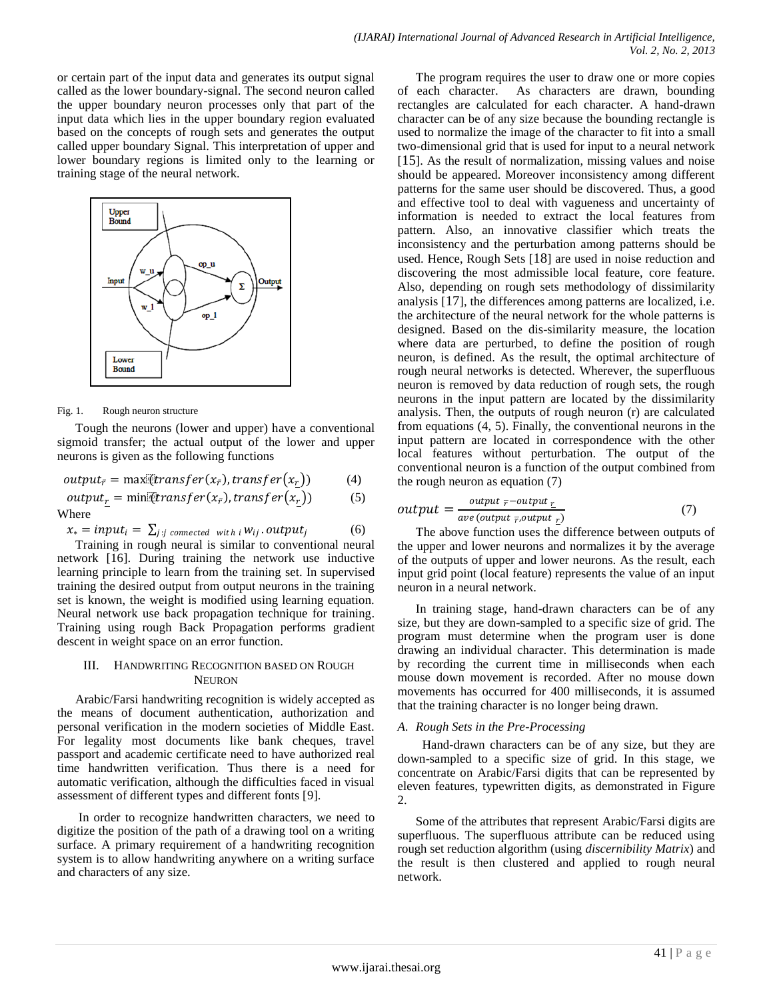or certain part of the input data and generates its output signal called as the lower boundary-signal. The second neuron called the upper boundary neuron processes only that part of the input data which lies in the upper boundary region evaluated based on the concepts of rough sets and generates the output called upper boundary Signal. This interpretation of upper and lower boundary regions is limited only to the learning or training stage of the neural network.



### Fig. 1. Rough neuron structure

Tough the neurons (lower and upper) have a conventional sigmoid transfer; the actual output of the lower and upper neurons is given as the following functions

$$
output_{\bar{r}} = \max[transfer(x_{\bar{r}}), transfer(x_r)) \qquad (4)
$$

 $output_r = \text{min}[transfer(x_{\bar{r}}), transfer(x_r))$  (5) Where

$$
x_* = input_i = \sum_{j:j \text{ connected with } i} w_{ij}.output_j \tag{6}
$$

Training in rough neural is similar to conventional neural network [16]. During training the network use inductive learning principle to learn from the training set. In supervised training the desired output from output neurons in the training set is known, the weight is modified using learning equation. Neural network use back propagation technique for training. Training using rough Back Propagation performs gradient descent in weight space on an error function.

# III. HANDWRITING RECOGNITION BASED ON ROUGH NEURON

Arabic/Farsi handwriting recognition is widely accepted as the means of document authentication, authorization and personal verification in the modern societies of Middle East. For legality most documents like bank cheques, travel passport and academic certificate need to have authorized real time handwritten verification. Thus there is a need for automatic verification, although the difficulties faced in visual assessment of different types and different fonts [9].

In order to recognize handwritten characters, we need to digitize the position of the path of a drawing tool on a writing surface. A primary requirement of a handwriting recognition system is to allow handwriting anywhere on a writing surface and characters of any size.

The program requires the user to draw one or more copies of each character. As characters are drawn, bounding rectangles are calculated for each character. A hand-drawn character can be of any size because the bounding rectangle is used to normalize the image of the character to fit into a small two-dimensional grid that is used for input to a neural network [15]. As the result of normalization, missing values and noise should be appeared. Moreover inconsistency among different patterns for the same user should be discovered. Thus, a good and effective tool to deal with vagueness and uncertainty of information is needed to extract the local features from pattern. Also, an innovative classifier which treats the inconsistency and the perturbation among patterns should be used. Hence, Rough Sets [18] are used in noise reduction and discovering the most admissible local feature, core feature. Also, depending on rough sets methodology of dissimilarity analysis [17], the differences among patterns are localized, i.e. the architecture of the neural network for the whole patterns is designed. Based on the dis-similarity measure, the location where data are perturbed, to define the position of rough neuron, is defined. As the result, the optimal architecture of rough neural networks is detected. Wherever, the superfluous neuron is removed by data reduction of rough sets, the rough neurons in the input pattern are located by the dissimilarity analysis. Then, the outputs of rough neuron (r) are calculated from equations (4, 5). Finally, the conventional neurons in the input pattern are located in correspondence with the other local features without perturbation. The output of the conventional neuron is a function of the output combined from the rough neuron as equation (7)

$$
output = \frac{output_{\bar{r}} - output_{\underline{r}}}{ave(output_{\bar{r}}, output_{\underline{r}})} \tag{7}
$$

The above function uses the difference between outputs of the upper and lower neurons and normalizes it by the average of the outputs of upper and lower neurons. As the result, each input grid point (local feature) represents the value of an input neuron in a neural network.

In training stage, hand-drawn characters can be of any size, but they are down-sampled to a specific size of grid. The program must determine when the program user is done drawing an individual character. This determination is made by recording the current time in milliseconds when each mouse down movement is recorded. After no mouse down movements has occurred for 400 milliseconds, it is assumed that the training character is no longer being drawn.

# *A. Rough Sets in the Pre-Processing*

 Hand-drawn characters can be of any size, but they are down-sampled to a specific size of grid. In this stage, we concentrate on Arabic/Farsi digits that can be represented by eleven features, typewritten digits, as demonstrated in Figure 2.

Some of the attributes that represent Arabic/Farsi digits are superfluous. The superfluous attribute can be reduced using rough set reduction algorithm (using *discernibility Matrix*) and the result is then clustered and applied to rough neural network.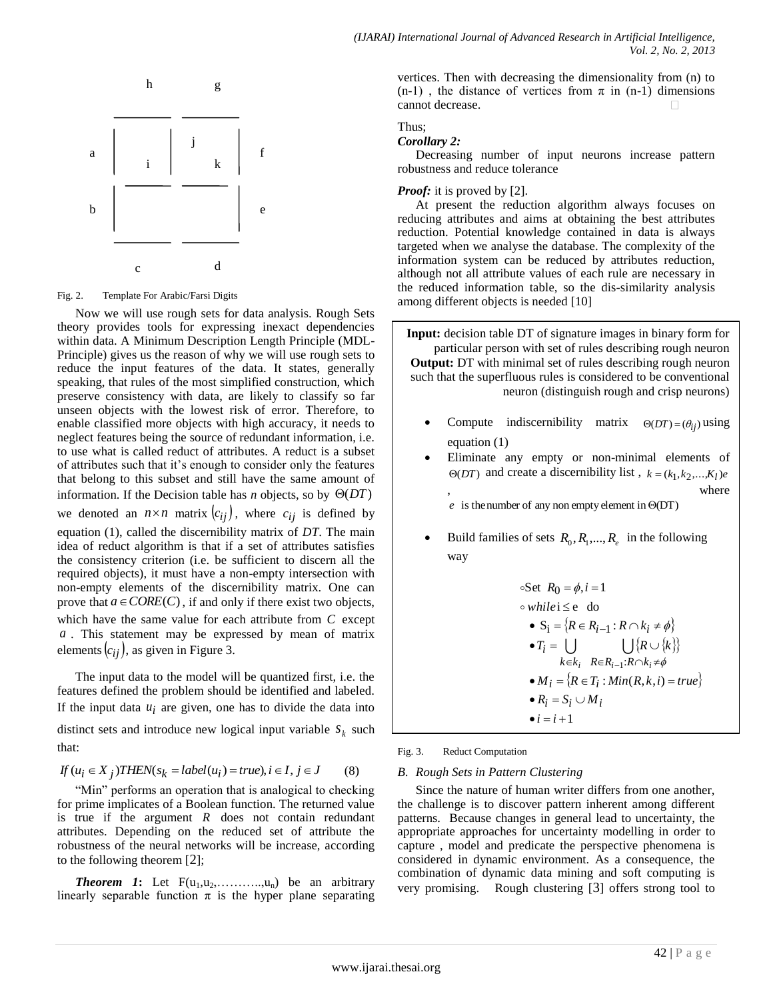

Fig. 2. Template For Arabic/Farsi Digits

Now we will use rough sets for data analysis. Rough Sets theory provides tools for expressing inexact dependencies within data. A Minimum Description Length Principle (MDL-Principle) gives us the reason of why we will use rough sets to reduce the input features of the data. It states, generally speaking, that rules of the most simplified construction, which preserve consistency with data, are likely to classify so far unseen objects with the lowest risk of error. Therefore, to enable classified more objects with high accuracy, it needs to neglect features being the source of redundant information, i.e. to use what is called reduct of attributes. A reduct is a subset of attributes such that it's enough to consider only the features that belong to this subset and still have the same amount of information. If the Decision table has *n* objects, so by  $\Theta(DT)$ we denoted an  $n \times n$  matrix  $(c_{ij})$ , where  $c_{ij}$  is defined by equation (1), called the discernibility matrix of *DT*. The main idea of reduct algorithm is that if a set of attributes satisfies the consistency criterion (i.e. be sufficient to discern all the required objects), it must have a non-empty intersection with non-empty elements of the discernibility matrix. One can prove that  $a \in \text{CORE}(C)$ , if and only if there exist two objects, which have the same value for each attribute from  $C$  except *a* . This statement may be expressed by mean of matrix elements  $(c_{ij})$ , as given in Figure 3.

The input data to the model will be quantized first, i.e. the features defined the problem should be identified and labeled. If the input data  $u_i$  are given, one has to divide the data into

distinct sets and introduce new logical input variable  $s_k$  such that:

$$
If (u_i \in X_j) THEN(s_k = label(u_i) = true), i \in I, j \in J
$$
 (8)

"Min" performs an operation that is analogical to checking for prime implicates of a Boolean function. The returned value is true if the argument  $R$  does not contain redundant attributes. Depending on the reduced set of attribute the robustness of the neural networks will be increase, according to the following theorem [2];

**Theorem 1:** Let  $F(u_1, u_2, \ldots, u_n)$  be an arbitrary linearly separable function  $\pi$  is the hyper plane separating vertices. Then with decreasing the dimensionality from (n) to (n-1), the distance of vertices from  $\pi$  in (n-1) dimensions cannot decrease.

# Thus;

*Corollary 2:*

Decreasing number of input neurons increase pattern robustness and reduce tolerance

# *Proof:* it is proved by [2].

At present the reduction algorithm always focuses on reducing attributes and aims at obtaining the best attributes reduction. Potential knowledge contained in data is always targeted when we analyse the database. The complexity of the information system can be reduced by attributes reduction, although not all attribute values of each rule are necessary in the reduced information table, so the dis-similarity analysis among different objects is needed [10]

**Input:** decision table DT of signature images in binary form for particular person with set of rules describing rough neuron **Output:** DT with minimal set of rules describing rough neuron such that the superfluous rules is considered to be conventional neuron (distinguish rough and crisp neurons)

- Compute indiscernibility matrix  $\Theta(DT) = (\theta_{ij})$  using equation (1)
- Eliminate any empty or non-minimal elements of  $\Theta(DT)$  and create a discernibility list,  $k = (k_1, k_2, \dots, K_l)e^{-\lambda_1 t}$ , where
	- $e$  is the number of any non empty element in  $\Theta(DT)$
- **Build families of sets**  $R_0, R_1, \ldots, R_e$  **in the following** way

\n- $$
\circ
$$
Set  $R_0 = \phi, i = 1$
\n- $\circ$  while  $i \leq e$  do
\n- $S_i = \{R \in R_{i-1} : R \cap k_i \neq \phi\}$
\n- $T_i = \bigcup_{k \in k_i} \bigcup_{R \in R_{i-1} : R \cap k_i \neq \phi} \{R \cup \{k\}\}$
\n- $M_i = \{R \in T_i : \text{Min}(R, k, i) = \text{true}\}$
\n- $R_i = S_i \cup M_i$
\n- $i = i + 1$
\n

Fig. 3. Reduct Computation

# *B. Rough Sets in Pattern Clustering*

Since the nature of human writer differs from one another, the challenge is to discover pattern inherent among different patterns. Because changes in general lead to uncertainty, the appropriate approaches for uncertainty modelling in order to capture , model and predicate the perspective phenomena is considered in dynamic environment. As a consequence, the combination of dynamic data mining and soft computing is very promising. Rough clustering [3] offers strong tool to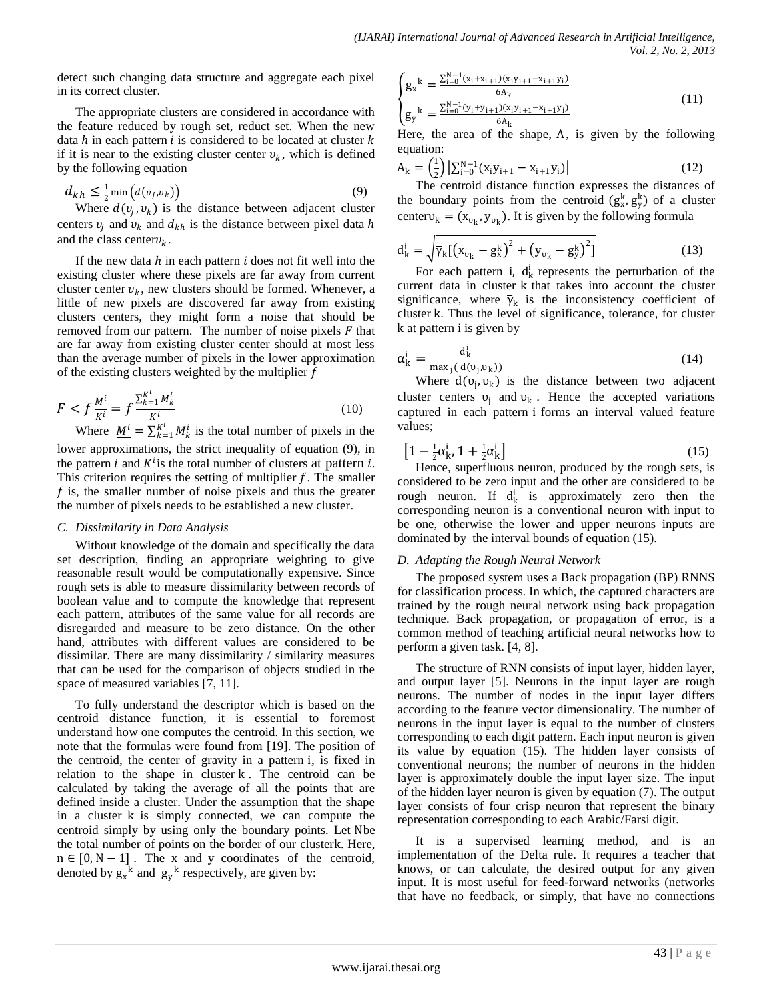detect such changing data structure and aggregate each pixel in its correct cluster.

The appropriate clusters are considered in accordance with the feature reduced by rough set, reduct set. When the new data  $h$  in each pattern  $i$  is considered to be located at cluster  $k$ if it is near to the existing cluster center  $v_k$ , which is defined by the following equation

$$
d_{kh} \leq \frac{1}{2} \min \left( d(v_j, v_k) \right) \tag{9}
$$

Where  $d(v_j, v_k)$  is the distance between adjacent cluster centers  $v_j$  and  $v_k$  and  $d_{kh}$  is the distance between pixel data h and the class center  $v_k$ .

If the new data  $h$  in each pattern  $i$  does not fit well into the existing cluster where these pixels are far away from current cluster center  $v_k$ , new clusters should be formed. Whenever, a little of new pixels are discovered far away from existing clusters centers, they might form a noise that should be removed from our pattern. The number of noise pixels  $F$  that are far away from existing cluster center should at most less than the average number of pixels in the lower approximation of the existing clusters weighted by the multiplier  $f$ 

$$
F < f \frac{M^i}{K^i} = f \frac{\sum_{k=1}^{K^i} M_k^i}{K^i} \tag{10}
$$
\n
$$
M^i = M^i \frac{\sum_{k=1}^{K^i} M_k^i}{K^i} \tag{10}
$$

Where  $\underline{M}^i = \sum_{k=1}^{K^i} M_k^i$  is the total number of pixels in the lower approximations, the strict inequality of equation (9), in the pattern *i* and  $K^{i}$  is the total number of clusters at pattern *i*. This criterion requires the setting of multiplier  $f$ . The smaller  $f$  is, the smaller number of noise pixels and thus the greater the number of pixels needs to be established a new cluster.

# *C. Dissimilarity in Data Analysis*

Without knowledge of the domain and specifically the data set description, finding an appropriate weighting to give reasonable result would be computationally expensive. Since rough sets is able to measure dissimilarity between records of boolean value and to compute the knowledge that represent each pattern, attributes of the same value for all records are disregarded and measure to be zero distance. On the other hand, attributes with different values are considered to be dissimilar. There are many dissimilarity / similarity measures that can be used for the comparison of objects studied in the space of measured variables [7, 11].

To fully understand the descriptor which is based on the centroid distance function, it is essential to foremost understand how one computes the centroid. In this section, we note that the formulas were found from [19]. The position of the centroid, the center of gravity in a pattern i, is fixed in relation to the shape in cluster k . The centroid can be calculated by taking the average of all the points that are defined inside a cluster. Under the assumption that the shape in a cluster k is simply connected, we can compute the centroid simply by using only the boundary points. Let Nbe the total number of points on the border of our clusterk. Here, n ∈ [0,N− 1] . The x and y coordinates of the centroid, denoted by  $g_x^k$  and  $g_y^k$  respectively, are given by:

$$
\begin{cases}\ng_x^k = \frac{\sum_{i=0}^{N-1} (x_i + x_{i+1})(x_i y_{i+1} - x_{i+1} y_i)}{6A_k} \\
g_y^k = \frac{\sum_{i=0}^{N-1} (y_i + y_{i+1})(x_i y_{i+1} - x_{i+1} y_i)}{6A_k}\n\end{cases} \tag{11}
$$

Here, the area of the shape, A, is given by the following equation:

$$
A_{k} = \left(\frac{1}{2}\right) \left| \sum_{i=0}^{N-1} (x_{i}y_{i+1} - x_{i+1}y_{i}) \right| \tag{12}
$$

The centroid distance function expresses the distances of the boundary points from the centroid  $(g_x^k, g_y^k)$  of a cluster center $v_k = (x_{v_k}, y_{v_k})$ . It is given by the following formula

$$
d_k^i = \sqrt{\bar{\gamma}_k [(x_{v_k} - g_x^k)^2 + (y_{v_k} - g_y^k)^2]}
$$
(13)

For each pattern i,  $d_k^i$  represents the perturbation of the current data in cluster k that takes into account the cluster significance, where  $\bar{\gamma}_k$  is the inconsistency coefficient of cluster k. Thus the level of significance, tolerance, for cluster k at pattern i is given by

$$
\alpha_{\mathbf{k}}^{\mathbf{i}} = \frac{\mathbf{d}_{\mathbf{k}}^{\mathbf{i}}}{\max_{\mathbf{j}} (\mathbf{d}(\mathbf{v}_{\mathbf{j}}, \mathbf{v}_{\mathbf{k}}))}
$$
(14)

Where  $d(v_j, v_k)$  is the distance between two adjacent cluster centers  $v_j$  and  $v_k$ . Hence the accepted variations captured in each pattern i forms an interval valued feature values;

$$
\left[1 - \frac{1}{2}\alpha_k^i, 1 + \frac{1}{2}\alpha_k^i\right]
$$
 (15)

Hence, superfluous neuron, produced by the rough sets, is considered to be zero input and the other are considered to be rough neuron. If  $d_k^i$  is approximately zero then the corresponding neuron is a conventional neuron with input to be one, otherwise the lower and upper neurons inputs are dominated by the interval bounds of equation (15).

# *D. Adapting the Rough Neural Network*

The proposed system uses a Back propagation (BP) RNNS for classification process. In which, the captured characters are trained by the rough neural network using back propagation technique. Back propagation, or propagation of error, is a common method of teaching [artificial neural networks](http://en.wikipedia.org/wiki/Artificial_neural_network) how to perform a given task. [4, 8].

The structure of RNN consists of input layer, hidden layer, and output layer [5]. Neurons in the input layer are rough neurons. The number of nodes in the input layer differs according to the feature vector dimensionality. The number of neurons in the input layer is equal to the number of clusters corresponding to each digit pattern. Each input neuron is given its value by equation (15). The hidden layer consists of conventional neurons; the number of neurons in the hidden layer is approximately double the input layer size. The input of the hidden layer neuron is given by equation (7). The output layer consists of four crisp neuron that represent the binary representation corresponding to each Arabic/Farsi digit.

It is a supervised learning method, and is an implementation of the Delta rule. It requires a teacher that knows, or can calculate, the desired output for any given input. It is most useful for feed-forward networks (networks that have no feedback, or simply, that have no connections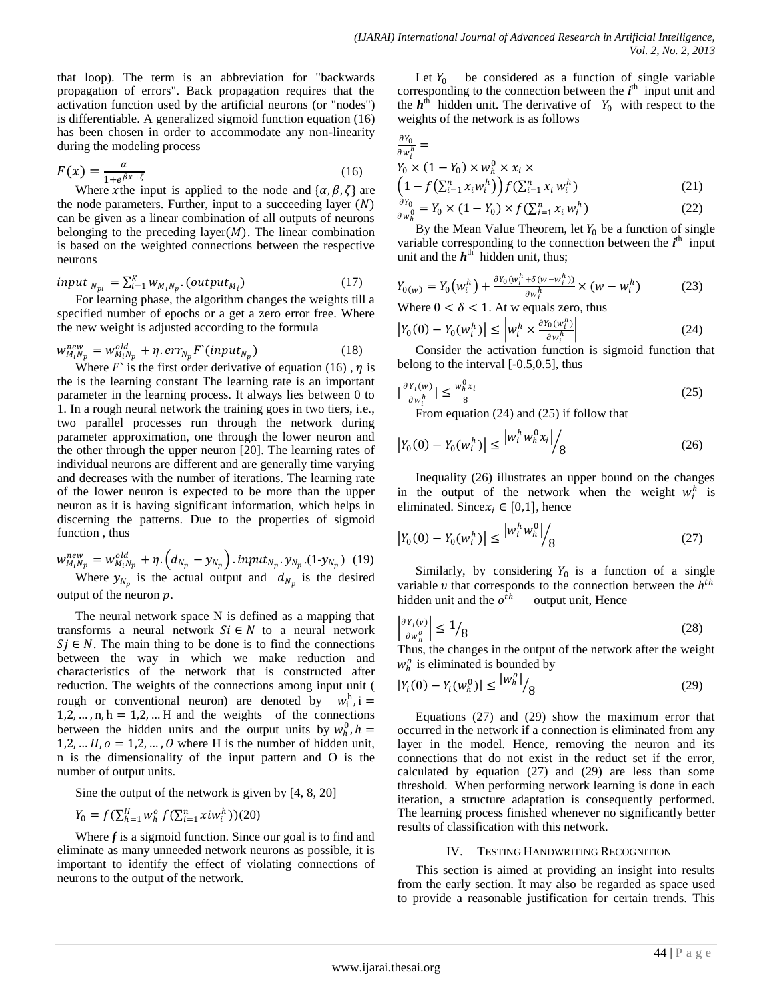that loop). The term is an abbreviation for "backwards propagation of errors". Back propagation requires that the [activation function](http://en.wikipedia.org/wiki/Activation_function) used by the [artificial neurons](http://en.wikipedia.org/wiki/Artificial_neuron) (or "nodes") i[s differentiable.](http://en.wikipedia.org/wiki/Differentiable) A generalized sigmoid function equation (16) has been chosen in order to accommodate any non-linearity during the modeling process

$$
F(x) = \frac{\alpha}{1 + e^{\beta x + \zeta}}
$$
 (16)

Where xthe input is applied to the node and  $\{\alpha, \beta, \zeta\}$  are the node parameters. Further, input to a succeeding layer  $(N)$ can be given as a linear combination of all outputs of neurons belonging to the preceding layer $(M)$ . The linear combination is based on the weighted connections between the respective neurons

$$
input_{N_{pi}} = \sum_{i=1}^{K} w_{M_i N_p} (output_{M_i})
$$
\n(17)

For learning phase, the algorithm changes the weights till a specified number of epochs or a get a zero error free. Where the new weight is adjusted according to the formula

$$
w_{M_i N_p}^{new} = w_{M_i N_p}^{old} + \eta . err_{N_p} F^{(input)}_{N_p})
$$
\n(18)

Where  $F$  is the first order derivative of equation (16),  $\eta$  is the is the learning constant The learning rate is an important parameter in the learning process. It always lies between 0 to 1. In a rough neural network the training goes in two tiers, i.e., two parallel processes run through the network during parameter approximation, one through the lower neuron and the other through the upper neuron [20]. The learning rates of individual neurons are different and are generally time varying and decreases with the number of iterations. The learning rate of the lower neuron is expected to be more than the upper neuron as it is having significant information, which helps in discerning the patterns. Due to the properties of sigmoid function , thus

$$
w_{M_iN_p}^{new} = w_{M_iN_p}^{old} + \eta \cdot (d_{N_p} - y_{N_p}) \cdot input_{N_p} \cdot y_{N_p} \cdot (1-y_{N_p}) \quad (19)
$$
  
Where  $y_{N_p}$  is the actual output and  $d_{N_p}$  is the desired

output of the neuron  $p$ .

The neural network space N is defined as a mapping that transforms a neural network  $Si \in N$  to a neural network  $Si \in N$ . The main thing to be done is to find the connections between the way in which we make reduction and characteristics of the network that is constructed after reduction. The weights of the connections among input unit ( rough or conventional neuron) are denoted by  $w_i^h$ , i = 1,2, ...,  $n, h = 1, 2, ...$  H and the weights of the connections between the hidden units and the output units by  $w_h^0$ ,  $h =$  $1,2, \ldots H, \mathbf{0} = 1,2, \ldots, \mathbf{0}$  where H is the number of hidden unit, n is the dimensionality of the input pattern and O is the number of output units.

Sine the output of the network is given by [4, 8, 20]

$$
Y_0 = f\left(\sum_{h=1}^H w_h^o f\left(\sum_{i=1}^n x_i w_i^h\right)\right)(20)
$$

Where *f* is a sigmoid function. Since our goal is to find and eliminate as many unneeded network neurons as possible, it is important to identify the effect of violating connections of neurons to the output of the network.

Let  $Y_0$  be considered as a function of single variable corresponding to the connection between the  $i<sup>th</sup>$  input unit and the  $h<sup>th</sup>$  hidden unit. The derivative of  $Y_0$  with respect to the weights of the network is as follows

$$
\frac{\partial Y_0}{\partial w_i^h} =
$$
\n
$$
Y_0 \times (1 - Y_0) \times w_h^0 \times x_i \times
$$
\n
$$
\left(1 - f\left(\sum_{i=1}^n x_i w_i^h\right)\right) f\left(\sum_{i=1}^n x_i w_i^h\right)
$$
\n(21)

$$
\frac{\partial Y_0}{\partial w_h^0} = Y_0 \times (1 - Y_0) \times f(\sum_{i=1}^n x_i w_i^h)
$$
 (22)

By the Mean Value Theorem, let  $Y_0$  be a function of single variable corresponding to the connection between the  $i<sup>th</sup>$  input unit and the  $h^{\text{th}}$  hidden unit, thus;

$$
Y_{0(w)} = Y_0 \left( w_i^h \right) + \frac{\partial Y_0(w_i^h + \delta(w - w_i^h))}{\partial w_i^h} \times \left( w - w_i^h \right) \tag{23}
$$

Where  $0 < \delta < 1$ . At w equals zero, thus

$$
\left| Y_0(0) - Y_0(w_i^h) \right| \le \left| w_i^h \times \frac{\partial Y_0(w_i^h)}{\partial w_i^h} \right| \tag{24}
$$

Consider the activation function is sigmoid function that belong to the interval [-0.5,0.5], thus

$$
\left|\frac{\partial Y_i(w)}{\partial w_i^h}\right| \le \frac{w_h^0 x_i}{8} \tag{25}
$$

From equation (24) and (25) if follow that

$$
\left| Y_0(0) - Y_0(w_i^h) \right| \le \left| w_i^h w_h^0 x_i \right|_B \tag{26}
$$

Inequality (26) illustrates an upper bound on the changes in the output of the network when the weight  $w_i^h$  is eliminated. Since  $x_i \in [0,1]$ , hence

$$
\left| Y_0(0) - Y_0(w_i^h) \right| \le \left| w_i^h w_h^0 \right| / 8 \tag{27}
$$

Similarly, by considering  $Y_0$  is a function of a single variable v that corresponds to the connection between the  $h^{th}$ hidden unit and the  $o^{\bar{t}h}$ output unit, Hence

$$
\left| \frac{\partial Y_i(v)}{\partial w_h^o} \right| \le 1 / 8 \tag{28}
$$

Thus, the changes in the output of the network after the weight  $w_h^o$  is eliminated is bounded by

$$
|Y_i(0) - Y_i(w_h^0)| \le |w_h^0| / \frac{1}{8}
$$
 (29)

Equations (27) and (29) show the maximum error that occurred in the network if a connection is eliminated from any layer in the model. Hence, removing the neuron and its connections that do not exist in the reduct set if the error, calculated by equation (27) and (29) are less than some threshold. When performing network learning is done in each iteration, a structure adaptation is consequently performed. The learning process finished whenever no significantly better results of classification with this network.

# IV. TESTING HANDWRITING RECOGNITION

This section is aimed at providing an insight into results from the early section. It may also be regarded as space used to provide a reasonable justification for certain trends. This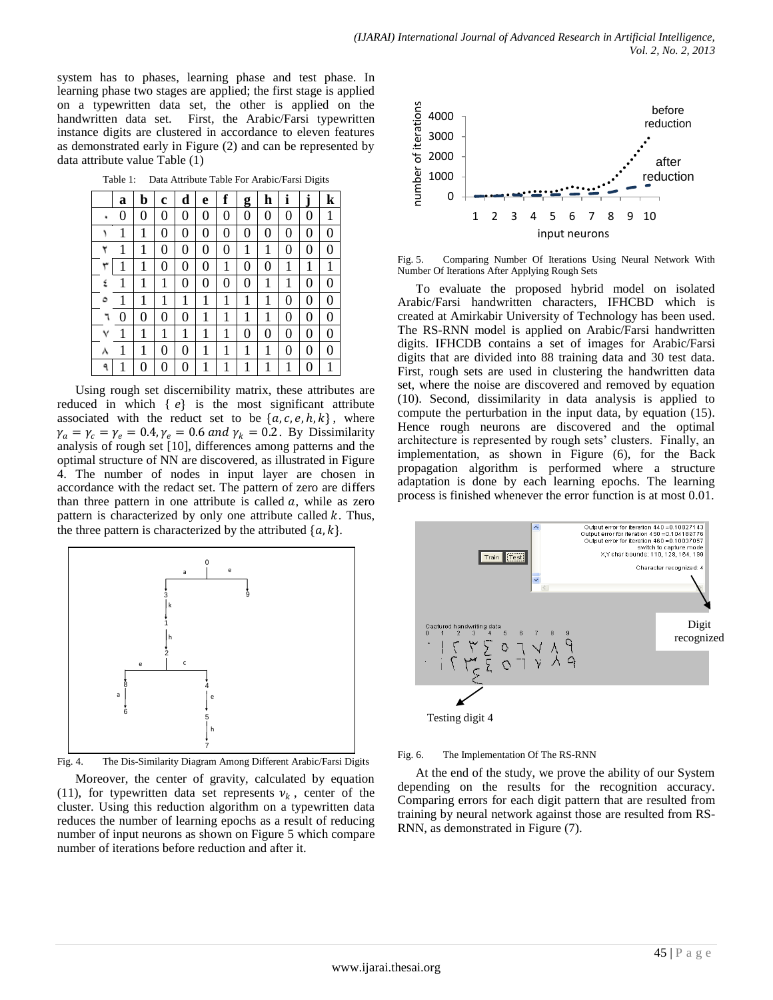system has to phases, learning phase and test phase. In learning phase two stages are applied; the first stage is applied on a typewritten data set, the other is applied on the handwritten data set. First, the Arabic/Farsi typewritten instance digits are clustered in accordance to eleven features as demonstrated early in Figure (2) and can be represented by data attribute value Table (1)

Table 1: Data Attribute Table For Arabic/Farsi Digits

|   | a | b | c | d | e | f | g | h | ı | J | k |
|---|---|---|---|---|---|---|---|---|---|---|---|
|   | 0 | 0 | 0 | 0 | 0 | 0 | 0 | 0 | 0 | 0 | 1 |
|   | 1 | 1 | 0 | 0 | 0 | 0 | 0 | 0 | 0 | 0 | 0 |
| ۲ | 1 | 1 | 0 | 0 | 0 | 0 | 1 | 1 | 0 | 0 | 0 |
| ٣ |   | 1 | 0 | 0 | 0 |   | 0 | 0 | 1 | 1 | 1 |
| ٤ | 1 | 1 | 1 | 0 | 0 | 0 | 0 | 1 | 1 | 0 | 0 |
| ٥ | 1 | 1 | 1 | 1 | 1 |   | 1 | 1 | 0 | 0 | 0 |
| ٦ | 0 | 0 | 0 | 0 | 1 |   | 1 | 1 | 0 | 0 | 0 |
| ٧ | 1 | 1 | 1 | 1 | 1 |   | 0 | 0 | 0 | 0 | 0 |
| л | 1 | 1 | 0 | 0 | 1 | 1 | 1 | 1 | 0 | 0 | 0 |
| ٩ |   | 0 | 0 | 0 |   |   |   |   | 1 | 0 | 1 |

Using rough set discernibility matrix, these attributes are reduced in which  $\{e\}$  is the most significant attribute associated with the reduct set to be  $\{a, c, e, h, k\}$ , where  $\gamma_a = \gamma_c = \gamma_e = 0.4$ ,  $\gamma_e = 0.6$  and  $\gamma_k = 0.2$ . By Dissimilarity analysis of rough set [10], differences among patterns and the optimal structure of NN are discovered, as illustrated in Figure 4. The number of nodes in input layer are chosen in accordance with the redact set. The pattern of zero are differs than three pattern in one attribute is called  $a$ , while as zero pattern is characterized by only one attribute called  $k$ . Thus, the three pattern is characterized by the attributed  $\{a, k\}$ .



Fig. 4. The Dis-Similarity Diagram Among Different Arabic/Farsi Digits

Moreover, the center of gravity, calculated by equation (11), for typewritten data set represents  $v_k$ , center of the cluster. Using this reduction algorithm on a typewritten data reduces the number of learning epochs as a result of reducing number of input neurons as shown on Figure 5 which compare number of iterations before reduction and after it.



Fig. 5. Comparing Number Of Iterations Using Neural Network With Number Of Iterations After Applying Rough Sets

To evaluate the proposed hybrid model on isolated Arabic/Farsi handwritten characters, IFHCBD which is created at Amirkabir University of Technology has been used. The RS-RNN model is applied on Arabic/Farsi handwritten digits. IFHCDB contains a set of images for Arabic/Farsi digits that are divided into 88 training data and 30 test data. First, rough sets are used in clustering the handwritten data set, where the noise are discovered and removed by equation (10). Second, dissimilarity in data analysis is applied to compute the perturbation in the input data, by equation (15). Hence rough neurons are discovered and the optimal architecture is represented by rough sets' clusters. Finally, an implementation, as shown in Figure (6), for the Back propagation algorithm is performed where a structure adaptation is done by each learning epochs. The learning process is finished whenever the error function is at most 0.01.





At the end of the study, we prove the ability of our System depending on the results for the recognition accuracy. Comparing errors for each digit pattern that are resulted from training by neural network against those are resulted from RS-RNN, as demonstrated in Figure (7).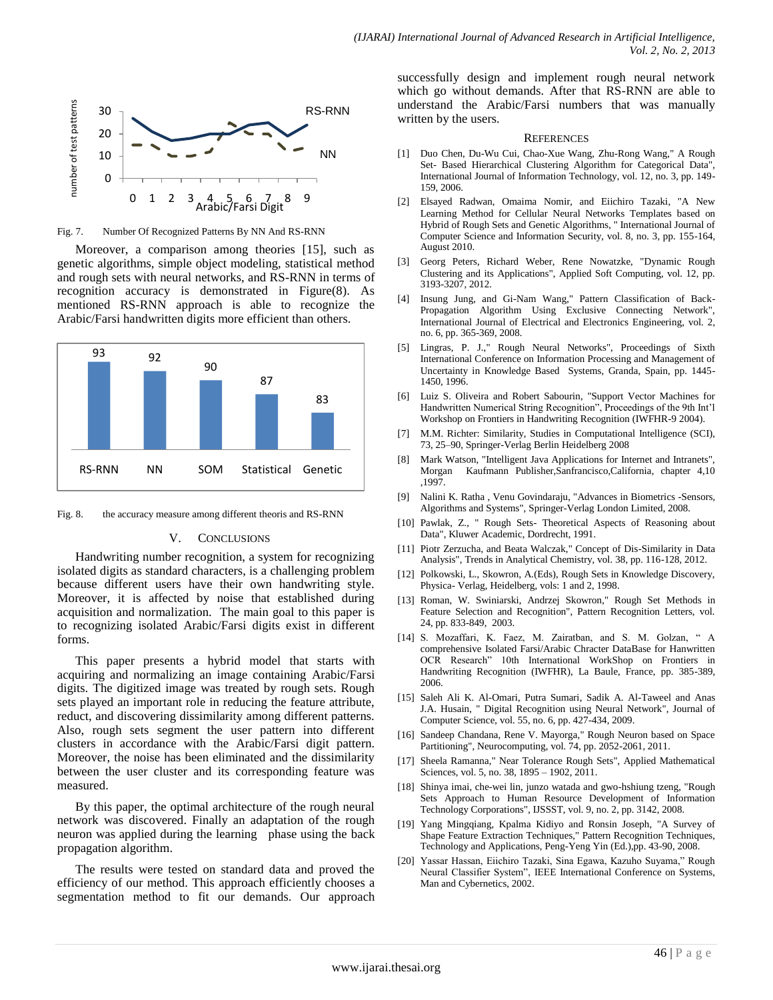

Fig. 7. Number Of Recognized Patterns By NN And RS-RNN

Moreover, a comparison among theories [15], such as genetic algorithms, simple object modeling, statistical method and rough sets with neural networks, and RS-RNN in terms of recognition accuracy is demonstrated in Figure(8). As mentioned RS-RNN approach is able to recognize the Arabic/Farsi handwritten digits more efficient than others.



Fig. 8. the accuracy measure among different theoris and RS-RNN

## V. CONCLUSIONS

Handwriting number recognition, a system for recognizing isolated digits as standard characters, is a challenging problem because different users have their own handwriting style. Moreover, it is affected by noise that established during acquisition and normalization. The main goal to this paper is to recognizing isolated Arabic/Farsi digits exist in different forms.

This paper presents a hybrid model that starts with acquiring and normalizing an image containing Arabic/Farsi digits. The digitized image was treated by rough sets. Rough sets played an important role in reducing the feature attribute, reduct, and discovering dissimilarity among different patterns. Also, rough sets segment the user pattern into different clusters in accordance with the Arabic/Farsi digit pattern. Moreover, the noise has been eliminated and the dissimilarity between the user cluster and its corresponding feature was measured.

By this paper, the optimal architecture of the rough neural network was discovered. Finally an adaptation of the rough neuron was applied during the learning phase using the back propagation algorithm.

The results were tested on standard data and proved the efficiency of our method. This approach efficiently chooses a segmentation method to fit our demands. Our approach successfully design and implement rough neural network which go without demands. After that RS-RNN are able to understand the Arabic/Farsi numbers that was manually written by the users.

#### **REFERENCES**

- [1] Duo Chen, Du-Wu Cui, Chao-Xue Wang, Zhu-Rong Wang," A Rough Set- Based Hierarchical Clustering Algorithm for Categorical Data", International Journal of Information Technology, vol. 12, no. 3, pp. 149- 159, 2006.
- [2] Elsayed Radwan, Omaima Nomir, and Eiichiro Tazaki, "A New Learning Method for Cellular Neural Networks Templates based on Hybrid of Rough Sets and Genetic Algorithms, " International Journal of Computer Science and Information Security, vol. 8, no. 3, pp. 155-164, August 2010.
- [3] Georg Peters, Richard Weber, Rene Nowatzke, "Dynamic Rough Clustering and its Applications", Applied Soft Computing, vol. 12, pp. 3193-3207, 2012.
- [4] Insung Jung, and Gi-Nam Wang," Pattern Classification of Back-Propagation Algorithm Using Exclusive Connecting Network", International Journal of Electrical and Electronics Engineering, vol. 2, no. 6, pp. 365-369, 2008.
- [5] Lingras, P. J.," Rough Neural Networks", Proceedings of Sixth International Conference on Information Processing and Management of Uncertainty in Knowledge Based Systems, Granda, Spain, pp. 1445- 1450, 1996.
- [6] Luiz S. Oliveira and Robert Sabourin, "Support Vector Machines for Handwritten Numerical String Recognition", Proceedings of the 9th Int'l Workshop on Frontiers in Handwriting Recognition (IWFHR-9 2004).
- [7] M.M. Richter: Similarity, Studies in Computational Intelligence (SCI), 73, 25–90, Springer-Verlag Berlin Heidelberg 2008
- [8] Mark Watson, "Intelligent Java Applications for Internet and Intranets", Morgan Kaufmann Publisher,Sanfrancisco,California, chapter 4,10 ,1997.
- [9] Nalini K. Ratha , Venu Govindaraju, "Advances in Biometrics -Sensors, Algorithms and Systems", Springer-Verlag London Limited, 2008.
- [10] Pawlak, Z., " Rough Sets- Theoretical Aspects of Reasoning about Data", Kluwer Academic, Dordrecht, 1991.
- [11] Piotr Zerzucha, and Beata Walczak," Concept of Dis-Similarity in Data Analysis", Trends in Analytical Chemistry, vol. 38, pp. 116-128, 2012.
- [12] Polkowski, L., Skowron, A.(Eds), Rough Sets in Knowledge Discovery, Physica- Verlag, Heidelberg, vols: 1 and 2, 1998.
- [13] Roman, W. Swiniarski, Andrzej Skowron," Rough Set Methods in Feature Selection and Recognition", Pattern Recognition Letters, vol. 24, pp. 833-849, 2003.
- [14] S. Mozaffari, K. Faez, M. Zairatban, and S. M. Golzan, "A comprehensive Isolated Farsi/Arabic Chracter DataBase for Hanwritten OCR Research" 10th International WorkShop on Frontiers in Handwriting Recognition (IWFHR), La Baule, France, pp. 385-389, 2006.
- [15] Saleh Ali K. Al-Omari, Putra Sumari, Sadik A. Al-Taweel and Anas J.A. Husain, " Digital Recognition using Neural Network", Journal of Computer Science, vol. 55, no. 6, pp. 427-434, 2009.
- [16] Sandeep Chandana, Rene V. Mayorga," Rough Neuron based on Space Partitioning", Neurocomputing, vol. 74, pp. 2052-2061, 2011.
- [17] Sheela Ramanna," Near Tolerance Rough Sets", Applied Mathematical Sciences, vol. 5, no. 38, 1895 - 1902, 2011.
- [18] Shinya imai, che-wei lin, junzo watada and gwo-hshiung tzeng, "Rough Sets Approach to Human Resource Development of Information Technology Corporations", IJSSST, vol. 9, no. 2, pp. 3142, 2008.
- [19] Yang Mingqiang, Kpalma Kidiyo and Ronsin Joseph, "A Survey of Shape Feature Extraction Techniques," Pattern Recognition Techniques, Technology and Applications, Peng-Yeng Yin (Ed.),pp. 43-90, 2008.
- [20] Yassar Hassan, Eiichiro Tazaki, Sina Egawa, Kazuho Suyama," Rough Neural Classifier System", IEEE International Conference on Systems, Man and Cybernetics, 2002.